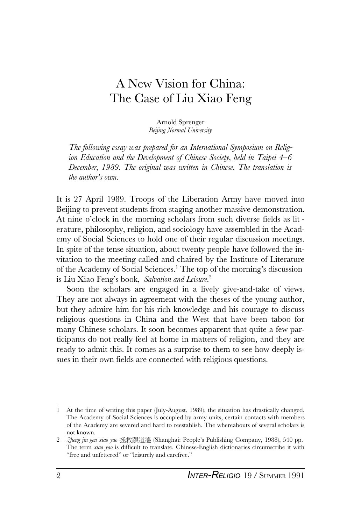# A New Vision for China: The Case of Liu Xiao Feng

Arnold Sprenger *Beijing Normal University*

*The following essay was prepared for an International Symposium on Religion Education and the Development of Chinese Society, held in Taipei 4–6 December, 1989. The original was written in Chinese. The translation is the author's own.*

It is 27 April 1989. Troops of the Liberation Army have moved into Beijing to prevent students from staging another massive demonstration. At nine o'clock in the morning scholars from such diverse fields as lit erature, philosophy, religion, and sociology have assembled in the Academy of Social Sciences to hold one of their regular discussion meetings. In spite of the tense situation, about twenty people have followed the invitation to the meeting called and chaired by the Institute of Literature of the Academy of Social Sciences.<sup>1</sup> The top of the morning's discussion is Liu Xiao Feng's book, *Salvation and Leisure*. 2

Soon the scholars are engaged in a lively give-and-take of views. They are not always in agreement with the theses of the young author, but they admire him for his rich knowledge and his courage to discuss religious questions in China and the West that have been taboo for many Chinese scholars. It soon becomes apparent that quite a few participants do not really feel at home in matters of religion, and they are ready to admit this. It comes as a surprise to them to see how deeply issues in their own fields are connected with religious questions.

<sup>1</sup> At the time of writing this paper (July-August, 1989), the situation has drastically changed. The Academy of Social Sciences is occupied by army units, certain contacts with members of the Academy are severed and hard to reestablish. The whereabouts of several scholars is not known.

<sup>2</sup> *Zheng jiu gen xiao yao* ~!@#\$ (Shanghai: People's Publishing Company, 1988), 540 pp. The term *xiao yao* is difficult to translate. Chinese-English dictionaries circumscribe it with "free and unfettered" or "leisurely and carefree."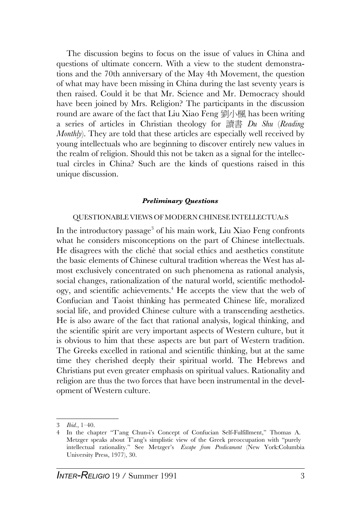The discussion begins to focus on the issue of values in China and questions of ultimate concern. With a view to the student demonstrations and the 70th anniversary of the May 4th Movement, the question of what may have been missing in China during the last seventy years is then raised. Could it be that Mr. Science and Mr. Democracy should have been joined by Mrs. Religion? The participants in the discussion round are aware of the fact that Liu Xiao Feng 劉小楓 has been writing a series of articles in Christian theology for 讀書 *Du Shu (Reading Monthly*). They are told that these articles are especially well received by young intellectuals who are beginning to discover entirely new values in the realm of religion. Should this not be taken as a signal for the intellectual circles in China? Such are the kinds of questions raised in this unique discussion.

#### *Preliminary Questions*

### QUESTIONABLE VIEWS OF MODERN CHINESE INTELLECTUALS

In the introductory passage<sup>3</sup> of his main work, Liu Xiao Feng confronts what he considers misconceptions on the part of Chinese intellectuals. He disagrees with the cliché that social ethics and aesthetics constitute the basic elements of Chinese cultural tradition whereas the West has almost exclusively concentrated on such phenomena as rational analysis, social changes, rationalization of the natural world, scientific methodology, and scientific achievements.<sup>4</sup> He accepts the view that the web of Confucian and Taoist thinking has permeated Chinese life, moralized social life, and provided Chinese culture with a transcending aesthetics. He is also aware of the fact that rational analysis, logical thinking, and the scientific spirit are very important aspects of Western culture, but it is obvious to him that these aspects are but part of Western tradition. The Greeks excelled in rational and scientific thinking, but at the same time they cherished deeply their spiritual world. The Hebrews and Christians put even greater emphasis on spiritual values. Rationality and religion are thus the two forces that have been instrumental in the development of Western culture.

<sup>3</sup> *Ibid*., 1–40.

<sup>4</sup> In the chapter "T'ang Chun-i's Concept of Confucian Self-Fulfillment," Thomas A. Metzger speaks about T'ang's simplistic view of the Greek preoccupation with "purely intellectual rationality." See Metzger's *Escape from Predicament* (New York:Columbia University Press, 1977), 30.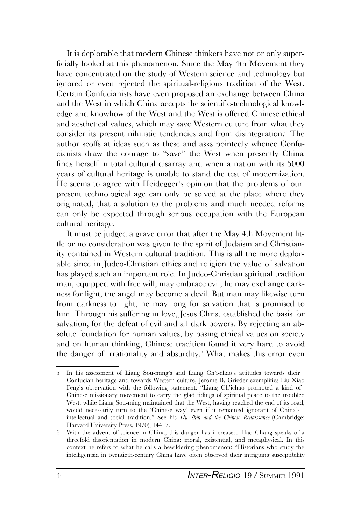It is deplorable that modern Chinese thinkers have not or only superficially looked at this phenomenon. Since the May 4th Movement they have concentrated on the study of Western science and technology but ignored or even rejected the spiritual-religious tradition of the West. Certain Confucianists have even proposed an exchange between China and the West in which China accepts the scientific-technological knowledge and knowhow of the West and the West is offered Chinese ethical and aesthetical values, which may save Western culture from what they consider its present nihilistic tendencies and from disintegration.<sup>5</sup> The author scoffs at ideas such as these and asks pointedly whence Confucianists draw the courage to "save" the West when presently China finds herself in total cultural disarray and when a nation with its 5000 years of cultural heritage is unable to stand the test of modernization. He seems to agree with Heidegger's opinion that the problems of our present technological age can only be solved at the place where they originated, that a solution to the problems and much needed reforms can only be expected through serious occupation with the European cultural heritage.

It must be judged a grave error that after the May 4th Movement little or no consideration was given to the spirit of Judaism and Christianity contained in Western cultural tradition. This is all the more deplorable since in Judeo-Christian ethics and religion the value of salvation has played such an important role. In Judeo-Christian spiritual tradition man, equipped with free will, may embrace evil, he may exchange darkness for light, the angel may become a devil. But man may likewise turn from darkness to light, he may long for salvation that is promised to him. Through his suffering in love, Jesus Christ established the basis for salvation, for the defeat of evil and all dark powers. By rejecting an absolute foundation for human values, by basing ethical values on society and on human thinking, Chinese tradition found it very hard to avoid the danger of irrationality and absurdity.<sup>6</sup> What makes this error even

<sup>5</sup> In his assessment of Liang Sou-ming's and Liang Ch'i-chao's attitudes towards their Confucian heritage and towards Western culture, Jerome B. Grieder exemplifies Liu Xiao Feng's observation with the following statement: "Liang Ch'ichao promoted a kind of Chinese missionary movement to carry the glad tidings of spiritual peace to the troubled West, while Liang Sou-ming maintained that the West, having reached the end of its road, would necessarily turn to the 'Chinese way' even if it remained ignorant of China's intellectual and social tradition." See his *Hu Shih and the Chinese Renaissance* (Cambridge: Harvard University Press, 1970), 144–7.

<sup>6</sup> With the advent of science in China, this danger has increased. Hao Chang speaks of a threefold disorientation in modern China: moral, existential, and metaphysical. In this context he refers to what he calls a bewildering phenomenon: "Historians who study the intelligentsia in twentieth-century China have often observed their intriguing susceptibility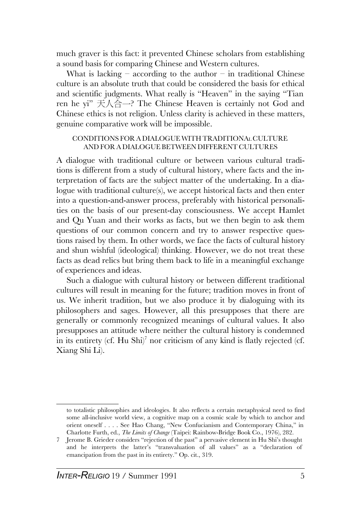much graver is this fact: it prevented Chinese scholars from establishing a sound basis for comparing Chinese and Western cultures.

What is lacking – according to the author – in traditional Chinese culture is an absolute truth that could be considered the basis for ethical and scientific judgments. What really is "Heaven" in the saying "Tian ren he yi"  $\overline{\mathcal{F}}\setminus\mathcal{A}\cong$  The Chinese Heaven is certainly not God and Chinese ethics is not religion. Unless clarity is achieved in these matters, genuine comparative work will be impossible.

#### CONDITIONS FOR A DIALOGUE WITH TRADITIONAL CULTURE AND FOR A DIALOGUE BETWEEN DIFFERENT CULTURES

A dialogue with traditional culture or between various cultural traditions is different from a study of cultural history, where facts and the interpretation of facts are the subject matter of the undertaking. In a dialogue with traditional culture(s), we accept historical facts and then enter into a question-and-answer process, preferably with historical personalities on the basis of our present-day consciousness. We accept Hamlet and Qu Yuan and their works as facts, but we then begin to ask them questions of our common concern and try to answer respective questions raised by them. In other words, we face the facts of cultural history and shun wishful (ideological) thinking. However, we do not treat these facts as dead relics but bring them back to life in a meaningful exchange of experiences and ideas.

Such a dialogue with cultural history or between different traditional cultures will result in meaning for the future; tradition moves in front of us. We inherit tradition, but we also produce it by dialoguing with its philosophers and sages. However, all this presupposes that there are generally or commonly recognized meanings of cultural values. It also presupposes an attitude where neither the cultural history is condemned in its entirety (cf. Hu Shi) $^7$  nor criticism of any kind is flatly rejected (cf. Xiang Shi Li).

to totalistic philosophies and ideologies. It also reflects a certain metaphysical need to find some all-inclusive world view, a cognitive map on a cosmic scale by which to anchor and orient oneself . . . . See Hao Chang, "New Confucianism and Contemporary China," in Charlotte Furth, ed., *The Limits of Change* (Taipei: Rainbow-Bridge Book Co., 1976), 282.

<sup>7</sup> Jerome B. Grieder considers "rejection of the past" a pervasive element in Hu Shi's thought and he interprets the latter's "transvaluation of all values" as a "declaration of emancipation from the past in its entirety." Op. cit., 319.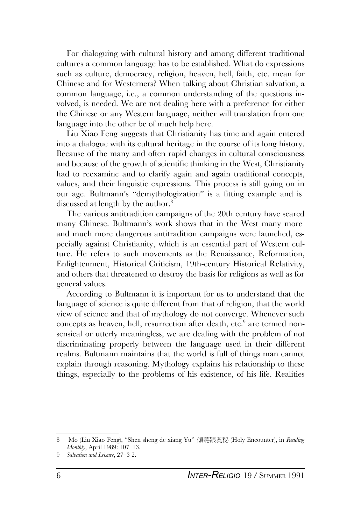For dialoguing with cultural history and among different traditional cultures a common language has to be established. What do expressions such as culture, democracy, religion, heaven, hell, faith, etc. mean for Chinese and for Westerners? When talking about Christian salvation, a common language, i.e., a common understanding of the questions involved, is needed. We are not dealing here with a preference for either the Chinese or any Western language, neither will translation from one language into the other be of much help here.

Liu Xiao Feng suggests that Christianity has time and again entered into a dialogue with its cultural heritage in the course of its long history. Because of the many and often rapid changes in cultural consciousness and because of the growth of scientific thinking in the West, Christianity had to reexamine and to clarify again and again traditional concepts, values, and their linguistic expressions. This process is still going on in our age. Bultmann's "demythologization" is a fitting example and is discussed at length by the author.<sup>8</sup>

The various antitradition campaigns of the 20th century have scared many Chinese. Bultmann's work shows that in the West many more and much more dangerous antitradition campaigns were launched, especially against Christianity, which is an essential part of Western culture. He refers to such movements as the Renaissance, Reformation, Enlightenment, Historical Criticism, 19th-century Historical Relativity, and others that threatened to destroy the basis for religions as well as for general values.

According to Bultmann it is important for us to understand that the language of science is quite different from that of religion, that the world view of science and that of mythology do not converge. Whenever such concepts as heaven, hell, resurrection after death, etc.<sup>9</sup> are termed nonsensical or utterly meaningless, we are dealing with the problem of not discriminating properly between the language used in their different realms. Bultmann maintains that the world is full of things man cannot explain through reasoning. Mythology explains his relationship to these things, especially to the problems of his existence, of his life. Realities

<sup>8</sup> Mo (Liu Xiao Feng), "Shen sheng de xiang Yu" 傾聽跟奧秘 (Holy Encounter), in *Reading Monthly*, April 1989: 107–13.

<sup>9</sup> *Salvation and Leisure*, 27–3 2.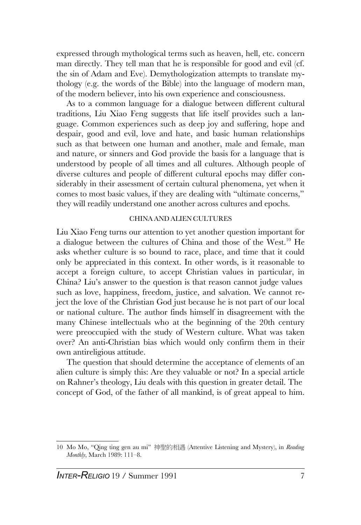expressed through mythological terms such as heaven, hell, etc. concern man directly. They tell man that he is responsible for good and evil (cf. the sin of Adam and Eve). Demythologization attempts to translate mythology (e.g. the words of the Bible) into the language of modern man, of the modern believer, into his own experience and consciousness.

As to a common language for a dialogue between different cultural traditions, Liu Xiao Feng suggests that life itself provides such a language. Common experiences such as deep joy and suffering, hope and despair, good and evil, love and hate, and basic human relationships such as that between one human and another, male and female, man and nature, or sinners and God provide the basis for a language that is understood by people of all times and all cultures. Although people of diverse cultures and people of different cultural epochs may differ considerably in their assessment of certain cultural phenomena, yet when it comes to most basic values, if they are dealing with "ultimate concerns," they will readily understand one another across cultures and epochs.

#### CHINAAND ALIEN CULTURES

Liu Xiao Feng turns our attention to yet another question important for a dialogue between the cultures of China and those of the West.<sup>10</sup> He asks whether culture is so bound to race, place, and time that it could only be appreciated in this context. In other words, is it reasonable to accept a foreign culture, to accept Christian values in particular, in China? Liu's answer to the question is that reason cannot judge values such as love, happiness, freedom, justice, and salvation. We cannot reject the love of the Christian God just because he is not part of our local or national culture. The author finds himself in disagreement with the many Chinese intellectuals who at the beginning of the 20th century were preoccupied with the study of Western culture. What was taken over? An anti-Christian bias which would only confirm them in their own antireligious attitude.

The question that should determine the acceptance of elements of an alien culture is simply this: Are they valuable or not? In a special article on Rahner's theology, Liu deals with this question in greater detail. The concept of God, of the father of all mankind, is of great appeal to him.

<sup>10</sup> Mo Mo, "Qing ting gen au mi" 神聖的相遇 (Attentive Listening and Mystery), in *Reading Monthly*, March 1989: 111–8.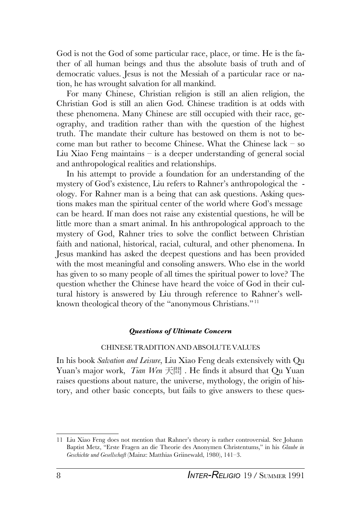God is not the God of some particular race, place, or time. He is the father of all human beings and thus the absolute basis of truth and of democratic values. Jesus is not the Messiah of a particular race or nation, he has wrought salvation for all mankind.

For many Chinese, Christian religion is still an alien religion, the Christian God is still an alien God. Chinese tradition is at odds with these phenomena. Many Chinese are still occupied with their race, geography, and tradition rather than with the question of the highest truth. The mandate their culture has bestowed on them is not to become man but rather to become Chinese. What the Chinese lack – so Liu Xiao Feng maintains – is a deeper understanding of general social and anthropological realities and relationships.

In his attempt to provide a foundation for an understanding of the mystery of God's existence, Liu refers to Rahner's anthropological the ology. For Rahner man is a being that can ask questions. Asking questions makes man the spiritual center of the world where God's message can be heard. If man does not raise any existential questions, he will be little more than a smart animal. In his anthropological approach to the mystery of God, Rahner tries to solve the conflict between Christian faith and national, historical, racial, cultural, and other phenomena. In Jesus mankind has asked the deepest questions and has been provided with the most meaningful and consoling answers. Who else in the world has given to so many people of all times the spiritual power to love? The question whether the Chinese have heard the voice of God in their cultural history is answered by Liu through reference to Rahner's wellknown theological theory of the "anonymous Christians."<sup>11</sup>

#### *Questions of Ultimate Concern*

## CHINESETRADITION AND ABSOLUTE VALUES

In his book *Salvation and Leisure*, Liu Xiao Feng deals extensively with Qu Yuan's major work, *Tian Wen* 天間. He finds it absurd that Qu Yuan raises questions about nature, the universe, mythology, the origin of history, and other basic concepts, but fails to give answers to these ques-

<sup>11</sup> Liu Xiao Feng does not mention that Rahner's theory is rather controversial. See Johann Baptist Metz, "Erste Fragen an die Theorie des Anonymen Christentums," in his *Glaube in Geschichte und Gesellschaft* (Mainz: Matthias Griinewald, 1980), 141–3.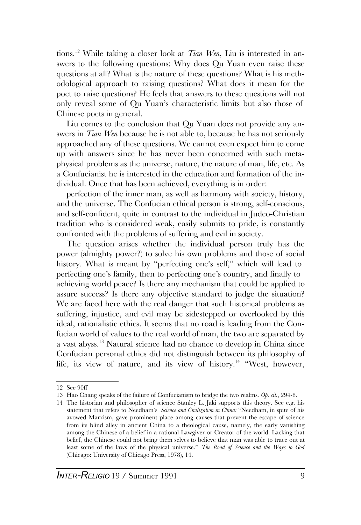tions.<sup>12</sup> While taking a closer look at *Tian Wen*, Liu is interested in answers to the following questions: Why does Qu Yuan even raise these questions at all? What is the nature of these questions? What is his methodological approach to raising questions? What does it mean for the poet to raise questions? He feels that answers to these questions will not only reveal some of Qu Yuan's characteristic limits but also those of Chinese poets in general.

Liu comes to the conclusion that Qu Yuan does not provide any answers in *Tian Wen* because he is not able to, because he has not seriously approached any of these questions. We cannot even expect him to come up with answers since he has never been concerned with such metaphysical problems as the universe, nature, the nature of man, life, etc. As a Confucianist he is interested in the education and formation of the individual. Once that has been achieved, everything is in order:

perfection of the inner man, as well as harmony with society, history, and the universe. The Confucian ethical person is strong, self-conscious, and self-confident, quite in contrast to the individual in Judeo-Christian tradition who is considered weak, easily submits to pride, is constantly confronted with the problems of suffering and evil in society.

The question arises whether the individual person truly has the power (almighty power?) to solve his own problems and those of social history. What is meant by "perfecting one's self," which will lead to perfecting one's family, then to perfecting one's country, and finally to achieving world peace? Is there any mechanism that could be applied to assure success? Is there any objective standard to judge the situation? We are faced here with the real danger that such historical problems as suffering, injustice, and evil may be sidestepped or overlooked by this ideal, rationalistic ethics. It seems that no road is leading from the Confucian world of values to the real world of man, the two are separated by a vast abyss.<sup>13</sup> Natural science had no chance to develop in China since Confucian personal ethics did not distinguish between its philosophy of life, its view of nature, and its view of history.<sup>14</sup> "West, however,

<sup>12</sup> See 90ff

<sup>13</sup> Hao Chang speaks of the failure of Confucianism to bridge the two realms. *Op. cit*., 294-8.

<sup>14</sup> The historian and philosopher of science Stanley L. Jaki supports this theory. See e.g. his statement that refers to Needham's *Science and Civilization in China:* "Needham, in spite of his avowed Marxism, gave prominent place among causes that prevent the escape of science from its blind alley in ancient China to a theological cause, namely, the early vanishing among the Chinese of a belief in a rational Lawgiver or Creator of the world. Lacking that belief, the Chinese could not bring them selves to believe that man was able to trace out at least some of the laws of the physical universe." *The Road of Science and the Ways to God* (Chicago: University of Chicago Press, 1978), 14.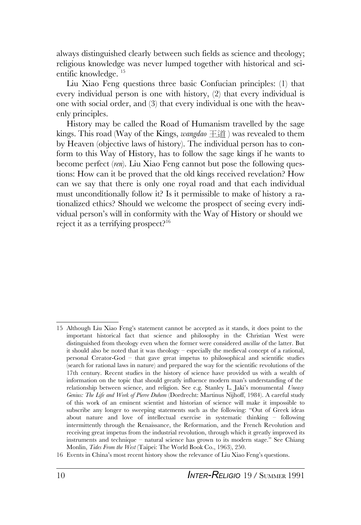always distinguished clearly between such fields as science and theology; religious knowledge was never lumped together with historical and scientific knowledge. <sup>15</sup>

Liu Xiao Feng questions three basic Confucian principles: (1) that every individual person is one with history, (2) that every individual is one with social order, and (3) that every individual is one with the heavenly principles.

History may be called the Road of Humanism travelled by the sage kings. This road (Way of the Kings, *wangdao* 干道) was revealed to them by Heaven (objective laws of history). The individual person has to conform to this Way of History, has to follow the sage kings if he wants to become perfect (*ren*). Liu Xiao Feng cannot but pose the following questions: How can it be proved that the old kings received revelation? How can we say that there is only one royal road and that each individual must unconditionally follow it? Is it permissible to make of history a rationalized ethics? Should we welcome the prospect of seeing every individual person's will in conformity with the Way of History or should we reject it as a terrifying prospect?<sup>16</sup>

<sup>15</sup> Although Liu Xiao Feng's statement cannot be accepted as it stands, it does point to the important historical fact that science and philosophy in the Christian West were distinguished from theology even when the former were considered *ancillae* of the latter. But it should also be noted that it was theology – especially the medieval concept of a rational, personal Creator-God – that gave great impetus to philosophical and scientific studies (search for rational laws in nature) and prepared the way for the scientific revolutions of the 17th century. Recent studies in the history of science have provided us with a wealth of information on the topic that should greatly influence modern man's understanding of the relationship between science, and religion. See e.g. Stanley L. Jaki's monumental *Uneasy Genius: The Life and Work of Pierre Duhem* (Dordrecht: Martinus Nijhoff, 1984). A careful study of this work of an eminent scientist and historian of science will make it impossible to subscribe any longer to sweeping statements such as the following: "Out of Greek ideas about nature and love of intellectual exercise in systematic thinking – following intermittently through the Renaissance, the Reformation, and the French Revolution and receiving great impetus from the industrial revolution, through which it greatly improved its instruments and technique – natural science has grown to its modern stage." See Chiang Monlin, *Tides From the West* (Taipei: The World Book Co., 1963), 250.

<sup>16</sup> Events in China's most recent history show the relevance of Liu Xiao Feng's questions.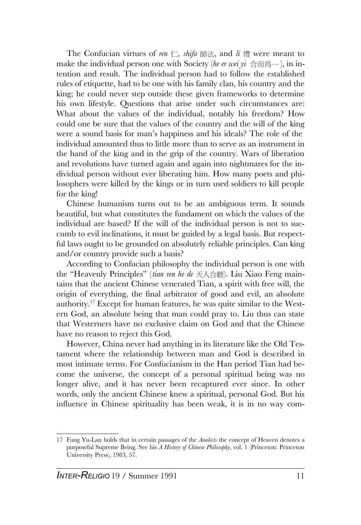The Confucian virtues of *ren*  $\subset$ , *shifa* 師法, and  $\ddot{a}$  禮 were meant to make the individual person one with Society (*he er wei*  $yi \oplus m$ ), in intention and result. The individual person had to follow the established rules of etiquette, had to be one with his family clan, his country and the king; he could never step outside these given frameworks to determine his own lifestyle. Questions that arise under such circumstances are: What about the values of the individual, notably his freedom? How could one be sure that the values of the country and the will of the king were a sound basis for man's happiness and his ideals? The role of the individual amounted thus to little more than to serve as an instrument in the hand of the king and in the grip of the country. Wars of liberation and revolutions have turned again and again into nightmares for the individual person without ever liberating him. How many poets and philosophers were killed by the kings or in turn used soldiers to kill people for the king!

Chinese humanism turns out to be an ambiguous term. It sounds beautiful, but what constitutes the fundament on which the values of the individual are based? If the will of the individual person is not to succumb to evil inclinations, it must be guided by a legal basis. But respectful laws ought to be grounded on absolutely reliable principles. Can king and/or country provide such a basis?

According to Confucian philosophy the individual person is one with the "Heavenly Principles" (*tian ren he de* 天人合聽). Liu Xiao Feng maintains that the ancient Chinese venerated Tian, a spirit with free will, the origin of everything, the final arbitrator of good and evil, an absolute authority.<sup>17</sup> Except for human features, he was quite similar to the Western God, an absolute being that man could pray to. Liu thus can state that Westerners have no exclusive claim on God and that the Chinese have no reason to reject this God.

However, China never had anything in its literature like the Old Testament where the relationship between man and God is described in most intimate terms. For Confucianism in the Han period Tian had become the universe, the concept of a personal spiritual being was no longer alive, and it has never been recaptured ever since. In other words, only the ancient Chinese knew a spiritual, personal God. But his influence in Chinese spirituality has been weak, it is in no way com-

<sup>17</sup> Fung Yu-Lan holds that in certain passages of the *Analects* the concept of Heaven denotes a purposeful Supreme Being. See his *A History of Chinese Philosophy*, vol. 1 (Princeton: Princeton University Press), 1983, 57.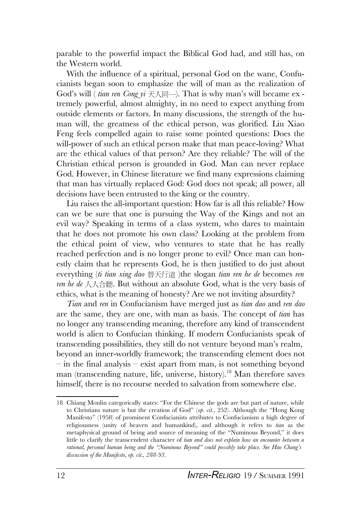parable to the powerful impact the Biblical God had, and still has, on the Western world.

With the influence of a spiritual, personal God on the wane, Confucianists began soon to emphasize the will of man as the realization of God's will (*tian ren Cong*  $yi \neq \land \Box$ ). That is why man's will became ex tremely powerful, almost almighty, in no need to expect anything from outside elements or factors. In many discussions, the strength of the human will, the greatness of the ethical person, was glorified. Liu Xiao Feng feels compelled again to raise some pointed questions: Does the will-power of such an ethical person make that man peace-loving? What are the ethical values of that person? Are they reliable? The will of the Christian ethical person is grounded in God. Man can never replace God. However, in Chinese literature we find many expressions claiming that man has virtually replaced God: God does not speak; all power, all decisions have been entrusted to the king or the country.

Liu raises the all-important question: How far is all this reliable? How can we be sure that one is pursuing the Way of the Kings and not an evil way? Speaking in terms of a class system, who dares to maintain that he does not promote his own class? Looking at the problem from the ethical point of view, who ventures to state that he has really reached perfection and is no longer prone to evil? Once man can honestly claim that he represents God, he is then justified to do just about everything (*ti tian xing dao* {)}\ )the slogan *tian ren he de* becomes *ren ren he de* 人人合聽. But without an absolute God, what is the very basis of ethics, what is the meaning of honesty? Are we not inviting absurdity?

*Tian* and *ren* in Confucianism have merged just as *tian dao* and *ren dao* are the same, they are one, with man as basis. The concept of *tian* has no longer any transcending meaning, therefore any kind of transcendent world is alien to Confucian thinking. If modern Confucianists speak of transcending possibilities, they still do not venture beyond man's realm, beyond an inner-worldly framework; the transcending element does not – in the final analysis – exist apart from man, is not something beyond man (transcending nature, life, universe, history).<sup>18</sup> Man therefore saves himself, there is no recourse needed to salvation from somewhere else.

<sup>18</sup> Chiang Monlin categorically states: "For the Chinese the gods are but part of nature, while to Christians nature is but the creation of God" (*op. cit*., 252). Although the "Hong Kong Manifesto" (1958) of prominent Confucianists attributes to Confucianism a high degree of religiousness (unity of heaven and humankind), and although it refers to *tian* as the metaphysical ground of being and source of meaning of the "Numinous Beyond," it does little to clarify the transcendent character of *tian and does not explain how an encounter between a rational, personal human being and the "Numinous Beyond" could possibly take place. See Hao Chang's discussion of the Manifesto, op. cit., 288-93.*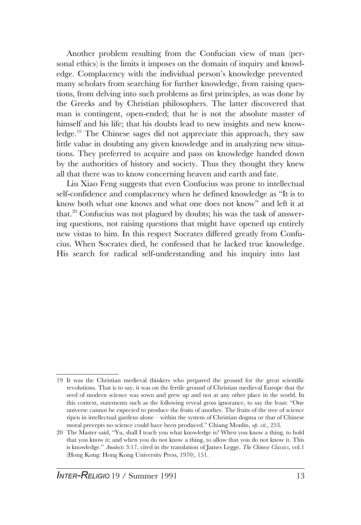Another problem resulting from the Confucian view of man (personal ethics) is the limits it imposes on the domain of inquiry and knowledge. Complacency with the individual person's knowledge prevented many scholars from searching for further knowledge, from raising questions, from delving into such problems as first principles, as was done by the Greeks and by Christian philosophers. The latter discovered that man is contingent, open-ended; that he is not the absolute master of himself and his life; that his doubts lead to new insights and new knowledge.<sup>19</sup> The Chinese sages did not appreciate this approach, they saw little value in doubting any given knowledge and in analyzing new situations. They preferred to acquire and pass on knowledge handed down by the authorities of history and society. Thus they thought they knew all that there was to know concerning heaven and earth and fate.

Liu Xiao Feng suggests that even Confucius was prone to intellectual self-confidence and complacency when he defined knowledge as "It is to know both what one knows and what one does not know" and left it at that.<sup>20</sup> Confucius was not plagued by doubts; his was the task of answering questions, not raising questions that might have opened up entirely new vistas to him. In this respect Socrates differed greatly from Confucius. When Socrates died, he confessed that he lacked true knowledge. His search for radical self-understanding and his inquiry into last

<sup>19</sup> It was the Christian medieval thinkers who prepared the ground for the great scientific revolutions. That is to say, it was on the fertile ground of Christian medieval Europe that the seed of modern science was sown and grew up and not at any other place in the world. In this context, statements such as the following reveal gross ignorance, to say the least: "One universe cannot be expected to produce the fruits of another. The fruits of the tree of science ripen in intellectual gardens alone – within the system of Christian dogma or that of Chinese moral precepts no science could have been produced." Chiang Monlin, *op. cit.*, 253.

<sup>20</sup> The Master said, "Yu, shall I teach you what knowledge is? When you know a thing, to hold that you know it; and when you do not know a thing, to allow that you do not know it. This is knowledge." *Analects* 3:17, cited in the translation of James Legge, *The Chinese Classics,* vol.1 (Hong Kong: Hong Kong University Press, 1970), 151.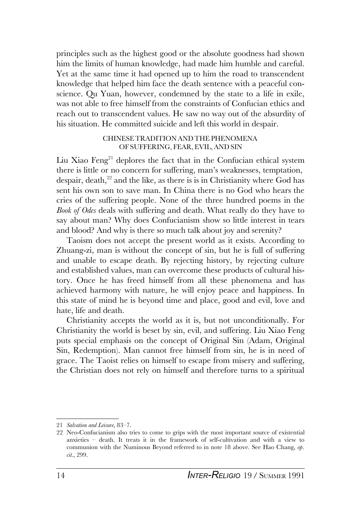principles such as the highest good or the absolute goodness had shown him the limits of human knowledge, had made him humble and careful. Yet at the same time it had opened up to him the road to transcendent knowledge that helped him face the death sentence with a peaceful conscience. Qu Yuan, however, condemned by the state to a life in exile, was not able to free himself from the constraints of Confucian ethics and reach out to transcendent values. He saw no way out of the absurdity of his situation. He committed suicide and left this world in despair.

#### CHINESETRADITION AND THE PHENOMENA OF SUFFERING, FEAR, EVIL, AND SIN

Liu Xiao  $Feng<sup>21</sup>$  deplores the fact that in the Confucian ethical system there is little or no concern for suffering, man's weaknesses, temptation, despair, death, $2^2$  and the like, as there is is in Christianity where God has sent his own son to save man. In China there is no God who hears the cries of the suffering people. None of the three hundred poems in the *Book of Odes* deals with suffering and death. What really do they have to say about man? Why does Confucianism show so little interest in tears and blood? And why is there so much talk about joy and serenity?

Taoism does not accept the present world as it exists. According to Zhuang-zi, man is without the concept of sin, but he is full of suffering and unable to escape death. By rejecting history, by rejecting culture and established values, man can overcome these products of cultural history. Once he has freed himself from all these phenomena and has achieved harmony with nature, he will enjoy peace and happiness. In this state of mind he is beyond time and place, good and evil, love and hate, life and death.

Christianity accepts the world as it is, but not unconditionally. For Christianity the world is beset by sin, evil, and suffering. Liu Xiao Feng puts special emphasis on the concept of Original Sin (Adam, Original Sin, Redemption). Man cannot free himself from sin, he is in need of grace. The Taoist relies on himself to escape from misery and suffering, the Christian does not rely on himself and therefore turns to a spiritual

<sup>21</sup> *Salvation and Leisure*, 83–7.

<sup>22</sup> Neo-Confucianism also tries to come to grips with the most important source of existential anxieties – death. It treats it in the framework of self-cultivation and with a view to communion with the Numinous Beyond referred to in note 18 above. See Hao Chang, *op. cit*., 299.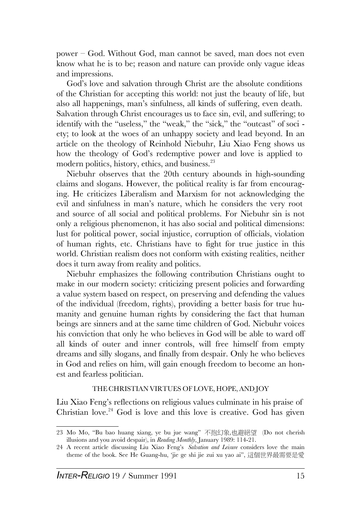power – God. Without God, man cannot be saved, man does not even know what he is to be; reason and nature can provide only vague ideas and impressions.

God's love and salvation through Christ are the absolute conditions of the Christian for accepting this world: not just the beauty of life, but also all happenings, man's sinfulness, all kinds of suffering, even death. Salvation through Christ encourages us to face sin, evil, and suffering; to identify with the "useless," the "weak," the "sick," the "outcast" of soci ety; to look at the woes of an unhappy society and lead beyond. In an article on the theology of Reinhold Niebuhr, Liu Xiao Feng shows us how the theology of God's redemptive power and love is applied to modern politics, history, ethics, and business.<sup>23</sup>

Niebuhr observes that the 20th century abounds in high-sounding claims and slogans. However, the political reality is far from encouraging. He criticizes Liberalism and Marxism for not acknowledging the evil and sinfulness in man's nature, which he considers the very root and source of all social and political problems. For Niebuhr sin is not only a religious phenomenon, it has also social and political dimensions: lust for political power, social injustice, corruption of officials, violation of human rights, etc. Christians have to fight for true justice in this world. Christian realism does not conform with existing realities, neither does it turn away from reality and politics.

Niebuhr emphasizes the following contribution Christians ought to make in our modern society: criticizing present policies and forwarding a value system based on respect, on preserving and defending the values of the individual (freedom, rights), providing a better basis for true humanity and genuine human rights by considering the fact that human beings are sinners and at the same time children of God. Niebuhr voices his conviction that only he who believes in God will be able to ward off all kinds of outer and inner controls, will free himself from empty dreams and silly slogans, and finally from despair. Only he who believes in God and relies on him, will gain enough freedom to become an honest and fearless politician.

#### THE CHRISTIAN VIRTUES OF LOVE, HOPE, AND JOY

Liu Xiao Feng's reflections on religious values culminate in his praise of Christian love.<sup>24</sup> God is love and this love is creative. God has given

<sup>23</sup> Mo Mo, "Bu bao huang xiang, ye bu jue wang" 不抱幻象,也避絕望 (Do not cherish illusions and you avoid despair), in *Reading Monthly*, January 1989: 114-21.

<sup>24</sup> A recent article discussing Liu Xiao Feng's *Salvation and Leisure* considers love the main theme of the book. See He Guang-hu, 'iie ge shi jie zui xu yao ai", 這個世界最需要是愛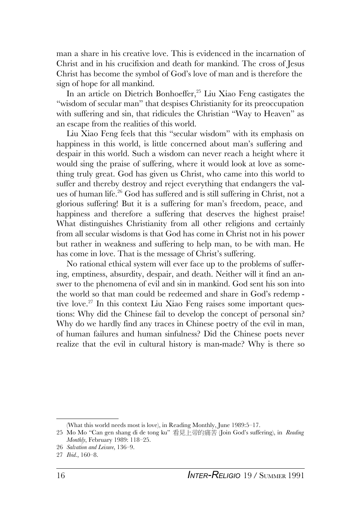man a share in his creative love. This is evidenced in the incarnation of Christ and in his crucifixion and death for mankind. The cross of Jesus Christ has become the symbol of God's love of man and is therefore the sign of hope for all mankind.

In an article on Dietrich Bonhoeffer,<sup>25</sup> Liu Xiao Feng castigates the "wisdom of secular man" that despises Christianity for its preoccupation with suffering and sin, that ridicules the Christian "Way to Heaven" as an escape from the realities of this world.

Liu Xiao Feng feels that this "secular wisdom" with its emphasis on happiness in this world, is little concerned about man's suffering and despair in this world. Such a wisdom can never reach a height where it would sing the praise of suffering, where it would look at love as something truly great. God has given us Christ, who came into this world to suffer and thereby destroy and reject everything that endangers the values of human life.<sup>26</sup> God has suffered and is still suffering in Christ, not a glorious suffering! But it is a suffering for man's freedom, peace, and happiness and therefore a suffering that deserves the highest praise! What distinguishes Christianity from all other religions and certainly from all secular wisdoms is that God has come in Christ not in his power but rather in weakness and suffering to help man, to be with man. He has come in love. That is the message of Christ's suffering.

No rational ethical system will ever face up to the problems of suffering, emptiness, absurdity, despair, and death. Neither will it find an answer to the phenomena of evil and sin in mankind. God sent his son into the world so that man could be redeemed and share in God's redemp tive love.<sup>27</sup> In this context Liu Xiao Feng raises some important questions: Why did the Chinese fail to develop the concept of personal sin? Why do we hardly find any traces in Chinese poetry of the evil in man, of human failures and human sinfulness? Did the Chinese poets never realize that the evil in cultural history is man-made? Why is there so

<sup>(</sup>What this world needs most is love), in Reading Monthly, June 1989:5–17.

<sup>25</sup> Mo Mo "Can gen shang di de tong ku" 看見上帝的痛苦 (Join God's suffering), in *Reading Monthly*, February 1989: 118–25.

<sup>26</sup> *Salvation and Leisure*, 136–9.

<sup>27</sup> *Ibid*., 160–8.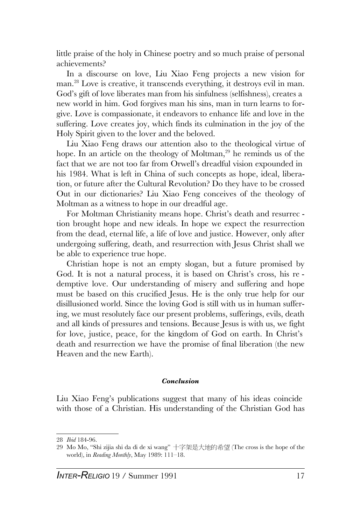little praise of the holy in Chinese poetry and so much praise of personal achievements?

In a discourse on love, Liu Xiao Feng projects a new vision for man.<sup>28</sup> Love is creative, it transcends everything, it destroys evil in man. God's gift of love liberates man from his sinfulness (selfishness), creates a new world in him. God forgives man his sins, man in turn learns to forgive. Love is compassionate, it endeavors to enhance life and love in the suffering. Love creates joy, which finds its culmination in the joy of the Holy Spirit given to the lover and the beloved.

Liu Xiao Feng draws our attention also to the theological virtue of hope. In an article on the theology of Moltman,  $29$  he reminds us of the fact that we are not too far from Orwell's dreadful vision expounded in his 1984. What is left in China of such concepts as hope, ideal, liberation, or future after the Cultural Revolution? Do they have to be crossed Out in our dictionaries? Liu Xiao Feng conceives of the theology of Moltman as a witness to hope in our dreadful age.

For Moltman Christianity means hope. Christ's death and resurrec tion brought hope and new ideals. In hope we expect the resurrection from the dead, eternal life, a life of love and justice. However, only after undergoing suffering, death, and resurrection with Jesus Christ shall we be able to experience true hope.

Christian hope is not an empty slogan, but a future promised by God. It is not a natural process, it is based on Christ's cross, his re demptive love. Our understanding of misery and suffering and hope must be based on this crucified Jesus. He is the only true help for our disillusioned world. Since the loving God is still with us in human suffering, we must resolutely face our present problems, sufferings, evils, death and all kinds of pressures and tensions. Because Jesus is with us, we fight for love, justice, peace, for the kingdom of God on earth. In Christ's death and resurrection we have the promise of final liberation (the new Heaven and the new Earth).

#### *Conclusion*

Liu Xiao Feng's publications suggest that many of his ideas coincide with those of a Christian. His understanding of the Christian God has

<sup>28</sup> *Ibid* 184-96.

<sup>29</sup> Mo Mo, "Shi zijia shi da di de xi wang" 十字架是大地的希望 (The cross is the hope of the world), in *Reading Monthly*, May 1989: 111–18.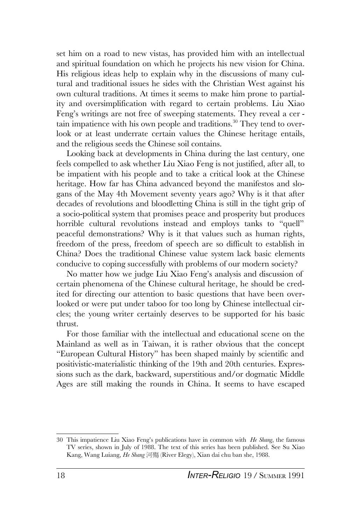set him on a road to new vistas, has provided him with an intellectual and spiritual foundation on which he projects his new vision for China. His religious ideas help to explain why in the discussions of many cultural and traditional issues he sides with the Christian West against his own cultural traditions. At times it seems to make him prone to partiality and oversimplification with regard to certain problems. Liu Xiao Feng's writings are not free of sweeping statements. They reveal a cer tain impatience with his own people and traditions.<sup>30</sup> They tend to overlook or at least underrate certain values the Chinese heritage entails, and the religious seeds the Chinese soil contains.

Looking back at developments in China during the last century, one feels compelled to ask whether Liu Xiao Feng is not justified, after all, to be impatient with his people and to take a critical look at the Chinese heritage. How far has China advanced beyond the manifestos and slogans of the May 4th Movement seventy years ago? Why is it that after decades of revolutions and bloodletting China is still in the tight grip of a socio-political system that promises peace and prosperity but produces horrible cultural revolutions instead and employs tanks to "quell" peaceful demonstrations? Why is it that values such as human rights, freedom of the press, freedom of speech are so difficult to establish in China? Does the traditional Chinese value system lack basic elements conducive to coping successfully with problems of our modern society?

No matter how we judge Liu Xiao Feng's analysis and discussion of certain phenomena of the Chinese cultural heritage, he should be credited for directing our attention to basic questions that have been overlooked or were put under taboo for too long by Chinese intellectual circles; the young writer certainly deserves to be supported for his basic thrust.

For those familiar with the intellectual and educational scene on the Mainland as well as in Taiwan, it is rather obvious that the concept "European Cultural History" has been shaped mainly by scientific and positivistic-materialistic thinking of the 19th and 20th centuries. Expressions such as the dark, backward, superstitious and/or dogmatic Middle Ages are still making the rounds in China. It seems to have escaped

<sup>30</sup> This impatience Liu Xiao Feng's publications have in common with *He Shang*, the famous TV series, shown in July of 1988. The text of this series has been published. See Su Xiao Kang, Wang Luiang, *He Shang* 河殤 (River Elegy), Xian dai chu ban she, 1988.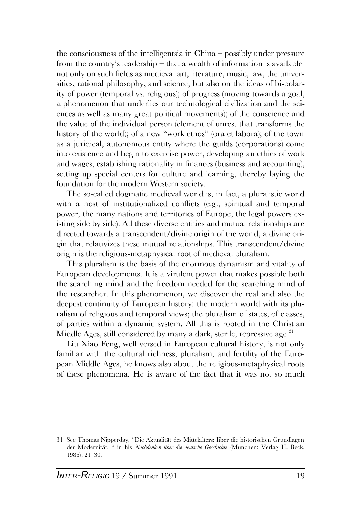the consciousness of the intelligentsia in China – possibly under pressure from the country's leadership – that a wealth of information is available not only on such fields as medieval art, literature, music, law, the universities, rational philosophy, and science, but also on the ideas of bi-polarity of power (temporal vs. religious); of progress (moving towards a goal, a phenomenon that underlies our technological civilization and the sciences as well as many great political movements); of the conscience and the value of the individual person (element of unrest that transforms the history of the world); of a new "work ethos" (ora et labora); of the town as a juridical, autonomous entity where the guilds (corporations) come into existence and begin to exercise power, developing an ethics of work and wages, establishing rationality in finances (business and accounting), setting up special centers for culture and learning, thereby laying the foundation for the modern Western society.

The so-called dogmatic medieval world is, in fact, a pluralistic world with a host of institutionalized conflicts (e.g., spiritual and temporal power, the many nations and territories of Europe, the legal powers existing side by side). All these diverse entities and mutual relationships are directed towards a transcendent/divine origin of the world, a divine origin that relativizes these mutual relationships. This transcendent/divine origin is the religious-metaphysical root of medieval pluralism.

This pluralism is the basis of the enormous dynamism and vitality of European developments. It is a virulent power that makes possible both the searching mind and the freedom needed for the searching mind of the researcher. In this phenomenon, we discover the real and also the deepest continuity of European history: the modern world with its pluralism of religious and temporal views; the pluralism of states, of classes, of parties within a dynamic system. All this is rooted in the Christian Middle Ages, still considered by many a dark, sterile, repressive age.<sup>31</sup>

Liu Xiao Feng, well versed in European cultural history, is not only familiar with the cultural richness, pluralism, and fertility of the European Middle Ages, he knows also about the religious-metaphysical roots of these phenomena. He is aware of the fact that it was not so much

<sup>31</sup> See Thomas Nipperday, "Die Aktualität des Mittelalters: Iiber die historischen Grundlagen der Modernität, " in his *Nachdenken über die deutsche Geschichte* (München: Verlag H. Beck, 1986), 21–30.